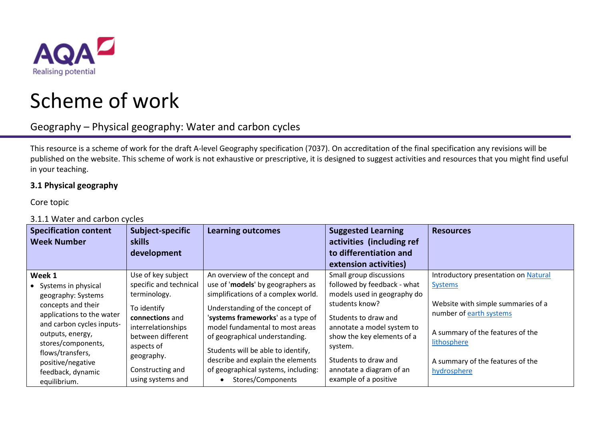

# Scheme of work

## Geography – Physical geography: Water and carbon cycles

This resource is a scheme of work for the draft A-level Geography specification (7037). On accreditation of the final specification any revisions will be published on the website. This scheme of work is not exhaustive or prescriptive, it is designed to suggest activities and resources that you might find useful in your teaching.

#### **3.1 Physical geography**

Core topic

### 3.1.1 Water and carbon cycles

| <b>Specification content</b><br><b>Week Number</b> | Subject-specific<br><b>skills</b><br>development | <b>Learning outcomes</b>            | <b>Suggested Learning</b><br>activities (including ref<br>to differentiation and<br>extension activities) | <b>Resources</b>                     |
|----------------------------------------------------|--------------------------------------------------|-------------------------------------|-----------------------------------------------------------------------------------------------------------|--------------------------------------|
| Week 1                                             | Use of key subject                               | An overview of the concept and      | Small group discussions                                                                                   | Introductory presentation on Natural |
| • Systems in physical                              | specific and technical                           | use of 'models' by geographers as   | followed by feedback - what                                                                               | <b>Systems</b>                       |
| geography: Systems                                 | terminology.                                     | simplifications of a complex world. | models used in geography do                                                                               |                                      |
| concepts and their                                 | To identify                                      | Understanding of the concept of     | students know?                                                                                            | Website with simple summaries of a   |
| applications to the water                          | connections and                                  | 'systems frameworks' as a type of   | Students to draw and                                                                                      | number of earth systems              |
| and carbon cycles inputs-                          | interrelationships                               | model fundamental to most areas     | annotate a model system to                                                                                | A summary of the features of the     |
| outputs, energy,                                   | between different                                | of geographical understanding.      | show the key elements of a                                                                                | lithosphere                          |
| stores/components,<br>flows/transfers,             | aspects of                                       | Students will be able to identify,  | system.                                                                                                   |                                      |
| positive/negative                                  | geography.                                       | describe and explain the elements   | Students to draw and                                                                                      | A summary of the features of the     |
| feedback, dynamic                                  | Constructing and                                 | of geographical systems, including: | annotate a diagram of an                                                                                  | hydrosphere                          |
| equilibrium.                                       | using systems and                                | Stores/Components                   | example of a positive                                                                                     |                                      |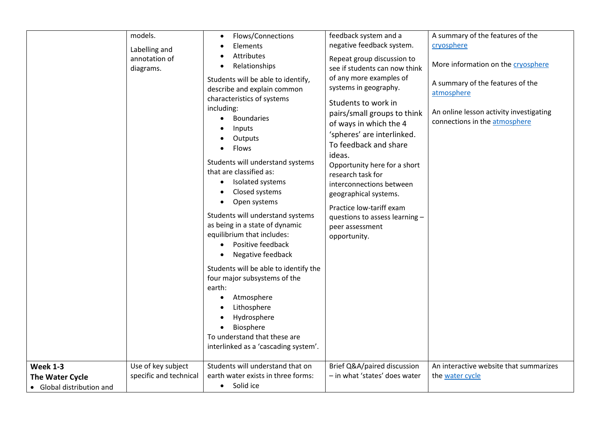|                                                                 | models.<br>Labelling and<br>annotation of<br>diagrams. | Flows/Connections<br>Elements<br>Attributes<br>Relationships<br>Students will be able to identify,<br>describe and explain common<br>characteristics of systems<br>including:<br><b>Boundaries</b><br>Inputs<br>Outputs<br>Flows<br>Students will understand systems<br>that are classified as:<br>Isolated systems<br>$\bullet$<br>Closed systems<br>Open systems<br>Students will understand systems<br>as being in a state of dynamic<br>equilibrium that includes:<br>Positive feedback<br>Negative feedback<br>Students will be able to identify the<br>four major subsystems of the<br>earth:<br>Atmosphere<br>Lithosphere<br>Hydrosphere<br>$\bullet$<br>Biosphere | feedback system and a<br>negative feedback system.<br>Repeat group discussion to<br>see if students can now think<br>of any more examples of<br>systems in geography.<br>Students to work in<br>pairs/small groups to think<br>of ways in which the 4<br>'spheres' are interlinked.<br>To feedback and share<br>ideas.<br>Opportunity here for a short<br>research task for<br>interconnections between<br>geographical systems.<br>Practice low-tariff exam<br>questions to assess learning -<br>peer assessment<br>opportunity. | A summary of the features of the<br>cryosphere<br>More information on the cryosphere<br>A summary of the features of the<br>atmosphere<br>An online lesson activity investigating<br>connections in the atmosphere |
|-----------------------------------------------------------------|--------------------------------------------------------|---------------------------------------------------------------------------------------------------------------------------------------------------------------------------------------------------------------------------------------------------------------------------------------------------------------------------------------------------------------------------------------------------------------------------------------------------------------------------------------------------------------------------------------------------------------------------------------------------------------------------------------------------------------------------|-----------------------------------------------------------------------------------------------------------------------------------------------------------------------------------------------------------------------------------------------------------------------------------------------------------------------------------------------------------------------------------------------------------------------------------------------------------------------------------------------------------------------------------|--------------------------------------------------------------------------------------------------------------------------------------------------------------------------------------------------------------------|
|                                                                 |                                                        | To understand that these are<br>interlinked as a 'cascading system'.                                                                                                                                                                                                                                                                                                                                                                                                                                                                                                                                                                                                      |                                                                                                                                                                                                                                                                                                                                                                                                                                                                                                                                   |                                                                                                                                                                                                                    |
| <b>Week 1-3</b><br>The Water Cycle<br>• Global distribution and | Use of key subject<br>specific and technical           | Students will understand that on<br>earth water exists in three forms:<br>• Solid ice                                                                                                                                                                                                                                                                                                                                                                                                                                                                                                                                                                                     | Brief Q&A/paired discussion<br>- in what 'states' does water                                                                                                                                                                                                                                                                                                                                                                                                                                                                      | An interactive website that summarizes<br>the water cycle                                                                                                                                                          |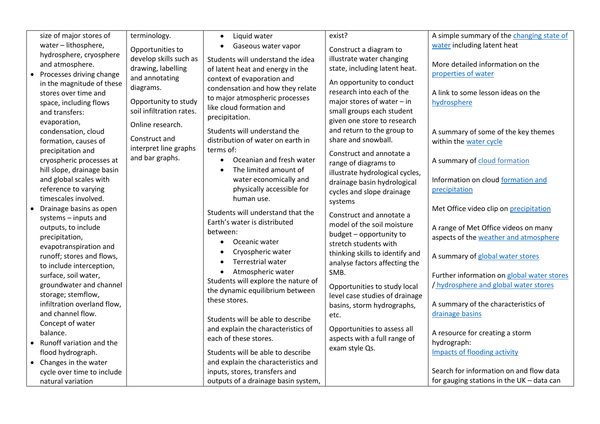| size of major stores of                                                                                                                   | terminology.                                                                                        | Liquid water<br>$\bullet$                                                                                                                      | exist?                                                                                                                                             | A simple summary of the changing state of                                                                               |
|-------------------------------------------------------------------------------------------------------------------------------------------|-----------------------------------------------------------------------------------------------------|------------------------------------------------------------------------------------------------------------------------------------------------|----------------------------------------------------------------------------------------------------------------------------------------------------|-------------------------------------------------------------------------------------------------------------------------|
| water - lithosphere,                                                                                                                      | Opportunities to                                                                                    | Gaseous water vapor<br>$\bullet$                                                                                                               | Construct a diagram to                                                                                                                             | water including latent heat                                                                                             |
| hydrosphere, cryosphere                                                                                                                   | develop skills such as                                                                              | Students will understand the idea                                                                                                              | illustrate water changing                                                                                                                          |                                                                                                                         |
| and atmosphere.                                                                                                                           | drawing, labelling                                                                                  | of latent heat and energy in the                                                                                                               | state, including latent heat.                                                                                                                      | More detailed information on the                                                                                        |
| Processes driving change<br>in the magnitude of these<br>stores over time and<br>space, including flows<br>and transfers:<br>evaporation, | and annotating<br>diagrams.<br>Opportunity to study<br>soil infiltration rates.<br>Online research. | context of evaporation and<br>condensation and how they relate<br>to major atmospheric processes<br>like cloud formation and<br>precipitation. | An opportunity to conduct<br>research into each of the<br>major stores of water $-$ in<br>small groups each student<br>given one store to research | properties of water<br>A link to some lesson ideas on the<br>hydrosphere                                                |
| condensation, cloud                                                                                                                       |                                                                                                     | Students will understand the                                                                                                                   | and return to the group to                                                                                                                         | A summary of some of the key themes                                                                                     |
| formation, causes of                                                                                                                      | Construct and                                                                                       | distribution of water on earth in                                                                                                              | share and snowball.                                                                                                                                | within the water cycle                                                                                                  |
| precipitation and<br>cryospheric processes at<br>hill slope, drainage basin                                                               | interpret line graphs<br>and bar graphs.                                                            | terms of:<br>Oceanian and fresh water<br>$\bullet$<br>The limited amount of                                                                    | Construct and annotate a<br>range of diagrams to<br>illustrate hydrological cycles,                                                                | A summary of cloud formation                                                                                            |
| and global scales with                                                                                                                    |                                                                                                     | water economically and                                                                                                                         | drainage basin hydrological                                                                                                                        | Information on cloud formation and                                                                                      |
| reference to varying                                                                                                                      |                                                                                                     | physically accessible for                                                                                                                      | cycles and slope drainage                                                                                                                          | precipitation                                                                                                           |
| timescales involved.                                                                                                                      |                                                                                                     | human use.                                                                                                                                     | systems                                                                                                                                            |                                                                                                                         |
| Drainage basins as open<br>systems - inputs and<br>outputs, to include<br>precipitation,                                                  |                                                                                                     | Students will understand that the<br>Earth's water is distributed<br>between:                                                                  | Construct and annotate a<br>model of the soil moisture<br>budget - opportunity to                                                                  | Met Office video clip on precipitation<br>A range of Met Office videos on many<br>aspects of the weather and atmosphere |
| evapotranspiration and<br>runoff; stores and flows,                                                                                       |                                                                                                     | Oceanic water<br>Cryospheric water<br>$\bullet$<br>Terrestrial water<br>$\bullet$                                                              | stretch students with<br>thinking skills to identify and<br>analyse factors affecting the                                                          | A summary of global water stores                                                                                        |
| to include interception,<br>surface, soil water,<br>groundwater and channel<br>storage; stemflow,                                         |                                                                                                     | Atmospheric water<br>$\bullet$<br>Students will explore the nature of<br>the dynamic equilibrium between                                       | SMB.<br>Opportunities to study local<br>level case studies of drainage                                                                             | Further information on global water stores<br>/ hydrosphere and global water stores                                     |
| infiltration overland flow,                                                                                                               |                                                                                                     | these stores.                                                                                                                                  | basins, storm hydrographs,                                                                                                                         | A summary of the characteristics of                                                                                     |
| and channel flow.                                                                                                                         |                                                                                                     |                                                                                                                                                | etc.                                                                                                                                               | drainage basins                                                                                                         |
| Concept of water                                                                                                                          |                                                                                                     | Students will be able to describe                                                                                                              |                                                                                                                                                    |                                                                                                                         |
| balance.                                                                                                                                  |                                                                                                     | and explain the characteristics of                                                                                                             | Opportunities to assess all                                                                                                                        | A resource for creating a storm                                                                                         |
| Runoff variation and the                                                                                                                  |                                                                                                     | each of these stores.                                                                                                                          | aspects with a full range of                                                                                                                       | hydrograph:                                                                                                             |
| flood hydrograph.                                                                                                                         |                                                                                                     | Students will be able to describe                                                                                                              | exam style Qs.                                                                                                                                     | <b>Impacts of flooding activity</b>                                                                                     |
| Changes in the water                                                                                                                      |                                                                                                     | and explain the characteristics and                                                                                                            |                                                                                                                                                    |                                                                                                                         |
| cycle over time to include                                                                                                                |                                                                                                     | inputs, stores, transfers and                                                                                                                  |                                                                                                                                                    | Search for information on and flow data                                                                                 |
| natural variation                                                                                                                         |                                                                                                     | outputs of a drainage basin system,                                                                                                            |                                                                                                                                                    | for gauging stations in the UK - data can                                                                               |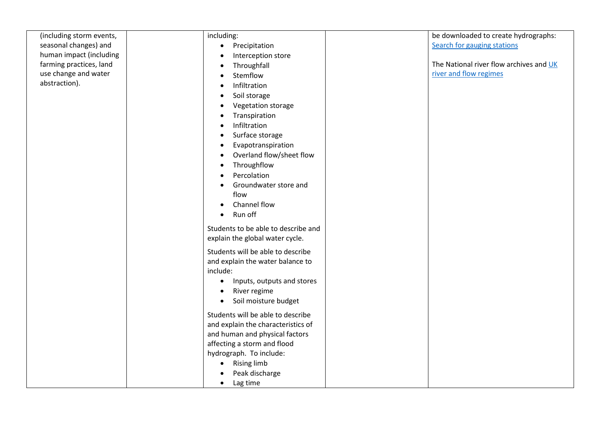| (including storm events, | including:                              | be downloaded to create hydrographs:    |
|--------------------------|-----------------------------------------|-----------------------------------------|
| seasonal changes) and    | Precipitation<br>$\bullet$              | Search for gauging stations             |
| human impact (including  | Interception store                      |                                         |
| farming practices, land  | Throughfall                             | The National river flow archives and UK |
| use change and water     | Stemflow                                | river and flow regimes                  |
| abstraction).            | Infiltration                            |                                         |
|                          | Soil storage                            |                                         |
|                          | Vegetation storage                      |                                         |
|                          | Transpiration                           |                                         |
|                          | Infiltration                            |                                         |
|                          | Surface storage                         |                                         |
|                          | Evapotranspiration                      |                                         |
|                          | Overland flow/sheet flow                |                                         |
|                          | Throughflow<br>$\bullet$                |                                         |
|                          | Percolation                             |                                         |
|                          | Groundwater store and                   |                                         |
|                          | flow                                    |                                         |
|                          | Channel flow                            |                                         |
|                          | Run off                                 |                                         |
|                          |                                         |                                         |
|                          | Students to be able to describe and     |                                         |
|                          | explain the global water cycle.         |                                         |
|                          | Students will be able to describe       |                                         |
|                          | and explain the water balance to        |                                         |
|                          | include:                                |                                         |
|                          | Inputs, outputs and stores<br>$\bullet$ |                                         |
|                          | River regime                            |                                         |
|                          | Soil moisture budget<br>$\bullet$       |                                         |
|                          | Students will be able to describe       |                                         |
|                          | and explain the characteristics of      |                                         |
|                          | and human and physical factors          |                                         |
|                          | affecting a storm and flood             |                                         |
|                          | hydrograph. To include:                 |                                         |
|                          | <b>Rising limb</b><br>$\bullet$         |                                         |
|                          | Peak discharge                          |                                         |
|                          | Lag time<br>$\bullet$                   |                                         |
|                          |                                         |                                         |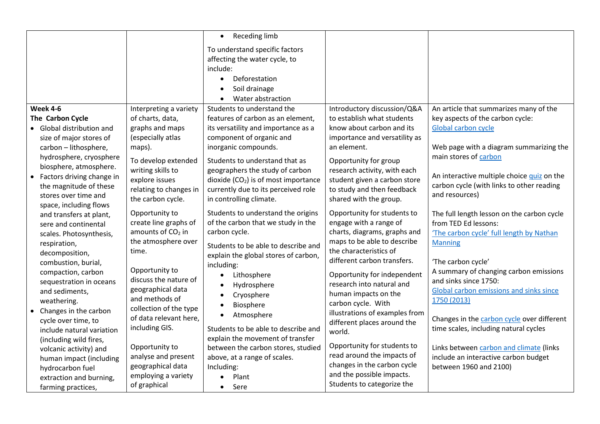|                                                                                                                                                                                                                                                                                                                  | Receding limb<br>$\bullet$                                                                                                                                                                |                                                                                                                                                                                                  |                                                                                                                                                                                                  |
|------------------------------------------------------------------------------------------------------------------------------------------------------------------------------------------------------------------------------------------------------------------------------------------------------------------|-------------------------------------------------------------------------------------------------------------------------------------------------------------------------------------------|--------------------------------------------------------------------------------------------------------------------------------------------------------------------------------------------------|--------------------------------------------------------------------------------------------------------------------------------------------------------------------------------------------------|
|                                                                                                                                                                                                                                                                                                                  | To understand specific factors                                                                                                                                                            |                                                                                                                                                                                                  |                                                                                                                                                                                                  |
|                                                                                                                                                                                                                                                                                                                  | affecting the water cycle, to                                                                                                                                                             |                                                                                                                                                                                                  |                                                                                                                                                                                                  |
|                                                                                                                                                                                                                                                                                                                  | include:                                                                                                                                                                                  |                                                                                                                                                                                                  |                                                                                                                                                                                                  |
|                                                                                                                                                                                                                                                                                                                  | Deforestation<br>$\bullet$                                                                                                                                                                |                                                                                                                                                                                                  |                                                                                                                                                                                                  |
|                                                                                                                                                                                                                                                                                                                  | Soil drainage<br>$\bullet$                                                                                                                                                                |                                                                                                                                                                                                  |                                                                                                                                                                                                  |
|                                                                                                                                                                                                                                                                                                                  | Water abstraction                                                                                                                                                                         |                                                                                                                                                                                                  |                                                                                                                                                                                                  |
| <b>Week 4-6</b><br>Interpreting a variety                                                                                                                                                                                                                                                                        | Students to understand the                                                                                                                                                                | Introductory discussion/Q&A                                                                                                                                                                      | An article that summarizes many of the                                                                                                                                                           |
| The Carbon Cycle<br>of charts, data,                                                                                                                                                                                                                                                                             | features of carbon as an element,                                                                                                                                                         | to establish what students                                                                                                                                                                       | key aspects of the carbon cycle:                                                                                                                                                                 |
| graphs and maps<br>• Global distribution and                                                                                                                                                                                                                                                                     | its versatility and importance as a                                                                                                                                                       | know about carbon and its                                                                                                                                                                        | Global carbon cycle                                                                                                                                                                              |
| (especially atlas<br>size of major stores of                                                                                                                                                                                                                                                                     | component of organic and                                                                                                                                                                  | importance and versatility as                                                                                                                                                                    |                                                                                                                                                                                                  |
| maps).<br>carbon - lithosphere,                                                                                                                                                                                                                                                                                  | inorganic compounds.                                                                                                                                                                      | an element.                                                                                                                                                                                      | Web page with a diagram summarizing the                                                                                                                                                          |
| hydrosphere, cryosphere<br>To develop extended                                                                                                                                                                                                                                                                   | Students to understand that as                                                                                                                                                            | Opportunity for group                                                                                                                                                                            | main stores of carbon                                                                                                                                                                            |
| biosphere, atmosphere.<br>writing skills to<br>Factors driving change in<br>$\bullet$<br>explore issues<br>the magnitude of these<br>relating to changes in<br>stores over time and<br>the carbon cycle.                                                                                                         | geographers the study of carbon<br>dioxide (CO <sub>2</sub> ) is of most importance<br>currently due to its perceived role<br>in controlling climate.                                     | research activity, with each<br>student given a carbon store<br>to study and then feedback<br>shared with the group.                                                                             | An interactive multiple choice quiz on the<br>carbon cycle (with links to other reading<br>and resources)                                                                                        |
| space, including flows<br>Opportunity to<br>and transfers at plant,<br>create line graphs of<br>sere and continental<br>amounts of CO <sub>2</sub> in<br>scales. Photosynthesis,                                                                                                                                 | Students to understand the origins<br>of the carbon that we study in the<br>carbon cycle.                                                                                                 | Opportunity for students to<br>engage with a range of<br>charts, diagrams, graphs and                                                                                                            | The full length lesson on the carbon cycle<br>from TED Ed lessons:<br>'The carbon cycle' full length by Nathan                                                                                   |
| the atmosphere over<br>respiration,<br>time.<br>decomposition,<br>combustion, burial,<br>Opportunity to<br>compaction, carbon<br>discuss the nature of<br>sequestration in oceans<br>geographical data<br>and sediments,<br>and methods of<br>weathering.                                                        | Students to be able to describe and<br>explain the global stores of carbon,<br>including:<br>Lithosphere<br>Hydrosphere<br>$\bullet$<br>Cryosphere<br>$\bullet$<br>Biosphere<br>$\bullet$ | maps to be able to describe<br>the characteristics of<br>different carbon transfers.<br>Opportunity for independent<br>research into natural and<br>human impacts on the<br>carbon cycle. With   | <b>Manning</b><br>'The carbon cycle'<br>A summary of changing carbon emissions<br>and sinks since 1750:<br>Global carbon emissions and sinks since<br>1750 (2013)                                |
| collection of the type<br>Changes in the carbon<br>of data relevant here,<br>cycle over time, to<br>including GIS.<br>include natural variation<br>(including wild fires,<br>Opportunity to<br>volcanic activity) and<br>analyse and present<br>human impact (including<br>geographical data<br>hydrocarbon fuel | Atmosphere<br>$\bullet$<br>Students to be able to describe and<br>explain the movement of transfer<br>between the carbon stores, studied<br>above, at a range of scales.<br>Including:    | illustrations of examples from<br>different places around the<br>world.<br>Opportunity for students to<br>read around the impacts of<br>changes in the carbon cycle<br>and the possible impacts. | Changes in the carbon cycle over different<br>time scales, including natural cycles<br>Links between carbon and climate (links<br>include an interactive carbon budget<br>between 1960 and 2100) |
| employing a variety<br>extraction and burning,<br>of graphical<br>farming practices,                                                                                                                                                                                                                             | Plant<br>Sere<br>$\bullet$                                                                                                                                                                | Students to categorize the                                                                                                                                                                       |                                                                                                                                                                                                  |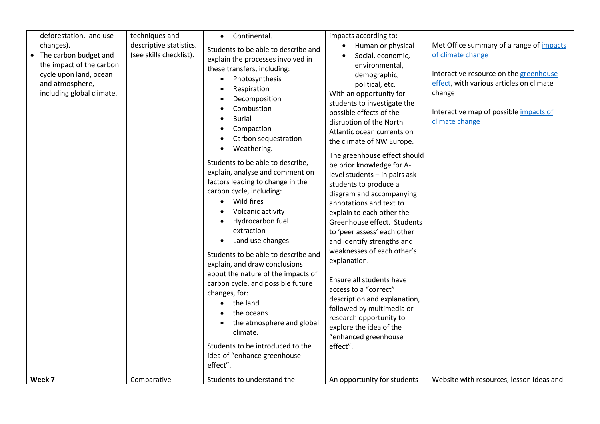| deforestation, land use<br>changes).<br>• The carbon budget and<br>the impact of the carbon<br>cycle upon land, ocean<br>and atmosphere,<br>including global climate.<br>Week 7 | techniques and<br>descriptive statistics.<br>(see skills checklist).<br>Comparative | Continental.<br>$\bullet$<br>Students to be able to describe and<br>explain the processes involved in<br>these transfers, including:<br>Photosynthesis<br>$\bullet$<br>Respiration<br>$\bullet$<br>Decomposition<br>Combustion<br><b>Burial</b><br>Compaction<br>Carbon sequestration<br>Weathering.<br>Students to be able to describe,<br>explain, analyse and comment on<br>factors leading to change in the<br>carbon cycle, including:<br>Wild fires<br>$\bullet$<br>Volcanic activity<br>Hydrocarbon fuel<br>$\bullet$<br>extraction<br>Land use changes.<br>$\bullet$<br>Students to be able to describe and<br>explain, and draw conclusions<br>about the nature of the impacts of<br>carbon cycle, and possible future<br>changes, for:<br>the land<br>$\bullet$<br>the oceans<br>the atmosphere and global<br>climate.<br>Students to be introduced to the<br>idea of "enhance greenhouse<br>effect".<br>Students to understand the | impacts according to:<br>Human or physical<br>Social, economic,<br>environmental,<br>demographic,<br>political, etc.<br>With an opportunity for<br>students to investigate the<br>possible effects of the<br>disruption of the North<br>Atlantic ocean currents on<br>the climate of NW Europe.<br>The greenhouse effect should<br>be prior knowledge for A-<br>level students - in pairs ask<br>students to produce a<br>diagram and accompanying<br>annotations and text to<br>explain to each other the<br>Greenhouse effect. Students<br>to 'peer assess' each other<br>and identify strengths and<br>weaknesses of each other's<br>explanation.<br>Ensure all students have<br>access to a "correct"<br>description and explanation,<br>followed by multimedia or<br>research opportunity to<br>explore the idea of the<br>"enhanced greenhouse<br>effect".<br>An opportunity for students | Met Office summary of a range of <i>impacts</i><br>of climate change<br>Interactive resource on the greenhouse<br>effect, with various articles on climate<br>change<br>Interactive map of possible impacts of<br>climate change<br>Website with resources, lesson ideas and |
|---------------------------------------------------------------------------------------------------------------------------------------------------------------------------------|-------------------------------------------------------------------------------------|-----------------------------------------------------------------------------------------------------------------------------------------------------------------------------------------------------------------------------------------------------------------------------------------------------------------------------------------------------------------------------------------------------------------------------------------------------------------------------------------------------------------------------------------------------------------------------------------------------------------------------------------------------------------------------------------------------------------------------------------------------------------------------------------------------------------------------------------------------------------------------------------------------------------------------------------------|-------------------------------------------------------------------------------------------------------------------------------------------------------------------------------------------------------------------------------------------------------------------------------------------------------------------------------------------------------------------------------------------------------------------------------------------------------------------------------------------------------------------------------------------------------------------------------------------------------------------------------------------------------------------------------------------------------------------------------------------------------------------------------------------------------------------------------------------------------------------------------------------------|------------------------------------------------------------------------------------------------------------------------------------------------------------------------------------------------------------------------------------------------------------------------------|
|---------------------------------------------------------------------------------------------------------------------------------------------------------------------------------|-------------------------------------------------------------------------------------|-----------------------------------------------------------------------------------------------------------------------------------------------------------------------------------------------------------------------------------------------------------------------------------------------------------------------------------------------------------------------------------------------------------------------------------------------------------------------------------------------------------------------------------------------------------------------------------------------------------------------------------------------------------------------------------------------------------------------------------------------------------------------------------------------------------------------------------------------------------------------------------------------------------------------------------------------|-------------------------------------------------------------------------------------------------------------------------------------------------------------------------------------------------------------------------------------------------------------------------------------------------------------------------------------------------------------------------------------------------------------------------------------------------------------------------------------------------------------------------------------------------------------------------------------------------------------------------------------------------------------------------------------------------------------------------------------------------------------------------------------------------------------------------------------------------------------------------------------------------|------------------------------------------------------------------------------------------------------------------------------------------------------------------------------------------------------------------------------------------------------------------------------|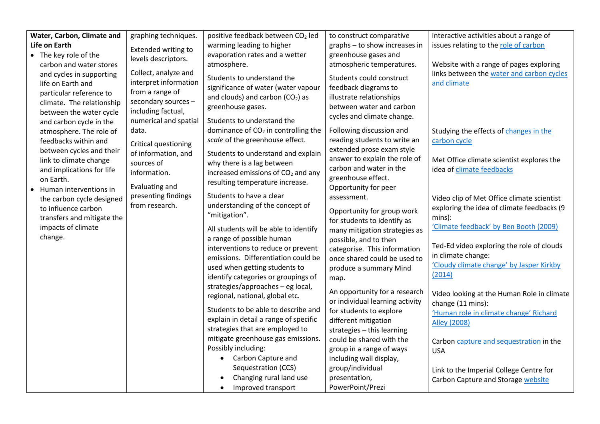| Water, Carbon, Climate and             | graphing techniques.  | positive feedback between CO <sub>2</sub> led                                      | to construct comparative                                 | interactive activities about a range of                                |
|----------------------------------------|-----------------------|------------------------------------------------------------------------------------|----------------------------------------------------------|------------------------------------------------------------------------|
| Life on Earth                          | Extended writing to   | warming leading to higher                                                          | graphs - to show increases in                            | issues relating to the role of carbon                                  |
| • The key role of the                  | levels descriptors.   | evaporation rates and a wetter                                                     | greenhouse gases and                                     |                                                                        |
| carbon and water stores                |                       | atmosphere.                                                                        | atmospheric temperatures.                                | Website with a range of pages exploring                                |
| and cycles in supporting               | Collect, analyze and  | Students to understand the                                                         | Students could construct                                 | links between the water and carbon cycles                              |
| life on Earth and                      | interpret information | significance of water (water vapour                                                | feedback diagrams to                                     | and climate                                                            |
| particular reference to                | from a range of       | and clouds) and carbon $(CO2)$ as                                                  | illustrate relationships                                 |                                                                        |
| climate. The relationship              | secondary sources -   | greenhouse gases.                                                                  | between water and carbon                                 |                                                                        |
| between the water cycle                | including factual,    |                                                                                    | cycles and climate change.                               |                                                                        |
| and carbon cycle in the                | numerical and spatial | Students to understand the                                                         |                                                          |                                                                        |
| atmosphere. The role of                | data.                 | dominance of CO <sub>2</sub> in controlling the<br>scale of the greenhouse effect. | Following discussion and<br>reading students to write an | Studying the effects of changes in the                                 |
| feedbacks within and                   | Critical questioning  |                                                                                    | extended prose exam style                                | carbon cycle                                                           |
| between cycles and their               | of information, and   | Students to understand and explain                                                 | answer to explain the role of                            |                                                                        |
| link to climate change                 | sources of            | why there is a lag between                                                         | carbon and water in the                                  | Met Office climate scientist explores the<br>idea of climate feedbacks |
| and implications for life<br>on Earth. | information.          | increased emissions of CO <sub>2</sub> and any                                     | greenhouse effect.                                       |                                                                        |
| Human interventions in                 | Evaluating and        | resulting temperature increase.                                                    | Opportunity for peer                                     |                                                                        |
| the carbon cycle designed              | presenting findings   | Students to have a clear                                                           | assessment.                                              | Video clip of Met Office climate scientist                             |
| to influence carbon                    | from research.        | understanding of the concept of                                                    |                                                          | exploring the idea of climate feedbacks (9                             |
| transfers and mitigate the             |                       | "mitigation".                                                                      | Opportunity for group work                               | mins):                                                                 |
| impacts of climate                     |                       | All students will be able to identify                                              | for students to identify as                              | 'Climate feedback' by Ben Booth (2009)                                 |
| change.                                |                       | a range of possible human                                                          | many mitigation strategies as                            |                                                                        |
|                                        |                       | interventions to reduce or prevent                                                 | possible, and to then<br>categorise. This information    | Ted-Ed video exploring the role of clouds                              |
|                                        |                       | emissions. Differentiation could be                                                | once shared could be used to                             | in climate change:                                                     |
|                                        |                       | used when getting students to                                                      | produce a summary Mind                                   | 'Cloudy climate change' by Jasper Kirkby                               |
|                                        |                       | identify categories or groupings of                                                | map.                                                     | (2014)                                                                 |
|                                        |                       | strategies/approaches - eg local,                                                  |                                                          |                                                                        |
|                                        |                       | regional, national, global etc.                                                    | An opportunity for a research                            | Video looking at the Human Role in climate                             |
|                                        |                       |                                                                                    | or individual learning activity                          | change (11 mins):                                                      |
|                                        |                       | Students to be able to describe and                                                | for students to explore                                  | 'Human role in climate change' Richard                                 |
|                                        |                       | explain in detail a range of specific                                              | different mitigation                                     | <b>Alley (2008)</b>                                                    |
|                                        |                       | strategies that are employed to                                                    | strategies - this learning                               |                                                                        |
|                                        |                       | mitigate greenhouse gas emissions.                                                 | could be shared with the                                 | Carbon capture and sequestration in the                                |
|                                        |                       | Possibly including:                                                                | group in a range of ways                                 | <b>USA</b>                                                             |
|                                        |                       | • Carbon Capture and                                                               | including wall display,                                  |                                                                        |
|                                        |                       | Sequestration (CCS)                                                                | group/individual                                         | Link to the Imperial College Centre for                                |
|                                        |                       | Changing rural land use                                                            | presentation,                                            | Carbon Capture and Storage website                                     |
|                                        |                       | Improved transport                                                                 | PowerPoint/Prezi                                         |                                                                        |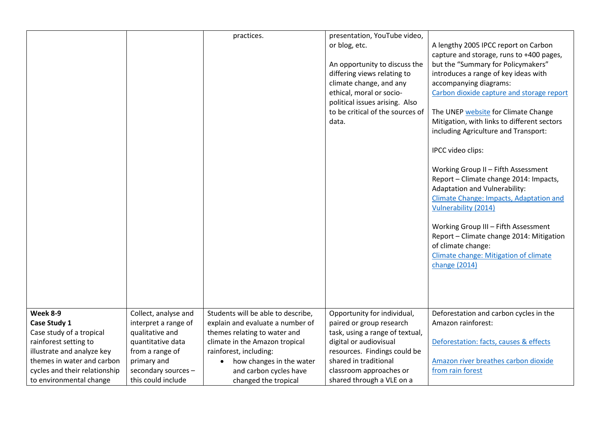|                               |                                              | practices.                                                             | presentation, YouTube video,<br>or blog, etc.<br>An opportunity to discuss the<br>differing views relating to<br>climate change, and any<br>ethical, moral or socio-<br>political issues arising. Also<br>to be critical of the sources of<br>data. | A lengthy 2005 IPCC report on Carbon<br>capture and storage, runs to +400 pages,<br>but the "Summary for Policymakers"<br>introduces a range of key ideas with<br>accompanying diagrams:<br>Carbon dioxide capture and storage report<br>The UNEP website for Climate Change<br>Mitigation, with links to different sectors<br>including Agriculture and Transport:<br>IPCC video clips:<br>Working Group II - Fifth Assessment<br>Report - Climate change 2014: Impacts,<br>Adaptation and Vulnerability:<br><b>Climate Change: Impacts, Adaptation and</b><br>Vulnerability (2014)<br>Working Group III - Fifth Assessment<br>Report - Climate change 2014: Mitigation<br>of climate change:<br>Climate change: Mitigation of climate<br>change (2014) |
|-------------------------------|----------------------------------------------|------------------------------------------------------------------------|-----------------------------------------------------------------------------------------------------------------------------------------------------------------------------------------------------------------------------------------------------|----------------------------------------------------------------------------------------------------------------------------------------------------------------------------------------------------------------------------------------------------------------------------------------------------------------------------------------------------------------------------------------------------------------------------------------------------------------------------------------------------------------------------------------------------------------------------------------------------------------------------------------------------------------------------------------------------------------------------------------------------------|
| Week 8-9<br>Case Study 1      | Collect, analyse and<br>interpret a range of | Students will be able to describe,<br>explain and evaluate a number of | Opportunity for individual,<br>paired or group research                                                                                                                                                                                             | Deforestation and carbon cycles in the<br>Amazon rainforest:                                                                                                                                                                                                                                                                                                                                                                                                                                                                                                                                                                                                                                                                                             |
| Case study of a tropical      | qualitative and                              | themes relating to water and                                           | task, using a range of textual,                                                                                                                                                                                                                     |                                                                                                                                                                                                                                                                                                                                                                                                                                                                                                                                                                                                                                                                                                                                                          |
| rainforest setting to         | quantitative data                            | climate in the Amazon tropical                                         | digital or audiovisual                                                                                                                                                                                                                              | Deforestation: facts, causes & effects                                                                                                                                                                                                                                                                                                                                                                                                                                                                                                                                                                                                                                                                                                                   |
| illustrate and analyze key    | from a range of                              | rainforest, including:                                                 | resources. Findings could be                                                                                                                                                                                                                        |                                                                                                                                                                                                                                                                                                                                                                                                                                                                                                                                                                                                                                                                                                                                                          |
| themes in water and carbon    | primary and                                  | how changes in the water                                               | shared in traditional                                                                                                                                                                                                                               | Amazon river breathes carbon dioxide                                                                                                                                                                                                                                                                                                                                                                                                                                                                                                                                                                                                                                                                                                                     |
| cycles and their relationship | secondary sources -                          | and carbon cycles have                                                 | classroom approaches or                                                                                                                                                                                                                             | from rain forest                                                                                                                                                                                                                                                                                                                                                                                                                                                                                                                                                                                                                                                                                                                                         |
| to environmental change       | this could include                           | changed the tropical                                                   | shared through a VLE on a                                                                                                                                                                                                                           |                                                                                                                                                                                                                                                                                                                                                                                                                                                                                                                                                                                                                                                                                                                                                          |
|                               |                                              |                                                                        |                                                                                                                                                                                                                                                     |                                                                                                                                                                                                                                                                                                                                                                                                                                                                                                                                                                                                                                                                                                                                                          |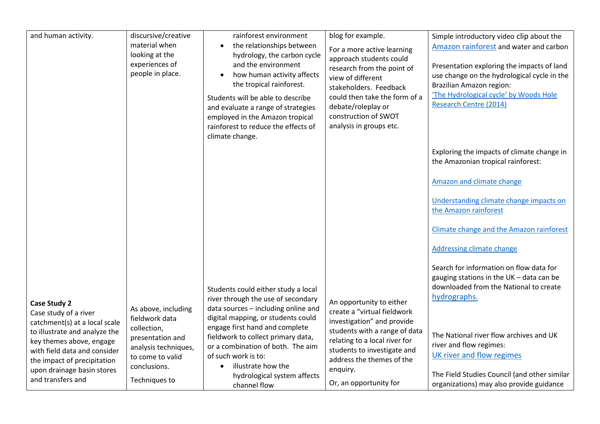| and human activity.                                                                                                                                                                                          | discursive/creative<br>material when<br>looking at the<br>experiences of<br>people in place.                                   | rainforest environment<br>the relationships between<br>$\bullet$<br>hydrology, the carbon cycle<br>and the environment<br>how human activity affects<br>$\bullet$<br>the tropical rainforest.<br>Students will be able to describe<br>and evaluate a range of strategies<br>employed in the Amazon tropical<br>rainforest to reduce the effects of<br>climate change. | blog for example.<br>For a more active learning<br>approach students could<br>research from the point of<br>view of different<br>stakeholders. Feedback<br>could then take the form of a<br>debate/roleplay or<br>construction of SWOT<br>analysis in groups etc. | Simple introductory video clip about the<br>Amazon rainforest and water and carbon<br>Presentation exploring the impacts of land<br>use change on the hydrological cycle in the<br>Brazilian Amazon region:<br>'The Hydrological cycle' by Woods Hole<br><b>Research Centre (2014)</b> |
|--------------------------------------------------------------------------------------------------------------------------------------------------------------------------------------------------------------|--------------------------------------------------------------------------------------------------------------------------------|-----------------------------------------------------------------------------------------------------------------------------------------------------------------------------------------------------------------------------------------------------------------------------------------------------------------------------------------------------------------------|-------------------------------------------------------------------------------------------------------------------------------------------------------------------------------------------------------------------------------------------------------------------|----------------------------------------------------------------------------------------------------------------------------------------------------------------------------------------------------------------------------------------------------------------------------------------|
|                                                                                                                                                                                                              |                                                                                                                                |                                                                                                                                                                                                                                                                                                                                                                       |                                                                                                                                                                                                                                                                   | Exploring the impacts of climate change in<br>the Amazonian tropical rainforest:                                                                                                                                                                                                       |
|                                                                                                                                                                                                              |                                                                                                                                |                                                                                                                                                                                                                                                                                                                                                                       |                                                                                                                                                                                                                                                                   | Amazon and climate change                                                                                                                                                                                                                                                              |
|                                                                                                                                                                                                              |                                                                                                                                |                                                                                                                                                                                                                                                                                                                                                                       |                                                                                                                                                                                                                                                                   | Understanding climate change impacts on<br>the Amazon rainforest                                                                                                                                                                                                                       |
|                                                                                                                                                                                                              |                                                                                                                                |                                                                                                                                                                                                                                                                                                                                                                       |                                                                                                                                                                                                                                                                   | Climate change and the Amazon rainforest                                                                                                                                                                                                                                               |
|                                                                                                                                                                                                              |                                                                                                                                |                                                                                                                                                                                                                                                                                                                                                                       |                                                                                                                                                                                                                                                                   | <b>Addressing climate change</b>                                                                                                                                                                                                                                                       |
| <b>Case Study 2</b><br>Case study of a river                                                                                                                                                                 | As above, including                                                                                                            | Students could either study a local<br>river through the use of secondary<br>data sources - including online and                                                                                                                                                                                                                                                      | An opportunity to either<br>create a "virtual fieldwork                                                                                                                                                                                                           | Search for information on flow data for<br>gauging stations in the UK - data can be<br>downloaded from the National to create<br>hydrographs.                                                                                                                                          |
| catchment(s) at a local scale<br>to illustrate and analyze the<br>key themes above, engage<br>with field data and consider<br>the impact of precipitation<br>upon drainage basin stores<br>and transfers and | fieldwork data<br>collection,<br>presentation and<br>analysis techniques,<br>to come to valid<br>conclusions.<br>Techniques to | digital mapping, or students could<br>engage first hand and complete<br>fieldwork to collect primary data,<br>or a combination of both. The aim<br>of such work is to:<br>illustrate how the<br>hydrological system affects<br>channel flow                                                                                                                           | investigation" and provide<br>students with a range of data<br>relating to a local river for<br>students to investigate and<br>address the themes of the<br>enquiry.<br>Or, an opportunity for                                                                    | The National river flow archives and UK<br>river and flow regimes:<br>UK river and flow regimes<br>The Field Studies Council (and other similar<br>organizations) may also provide guidance                                                                                            |